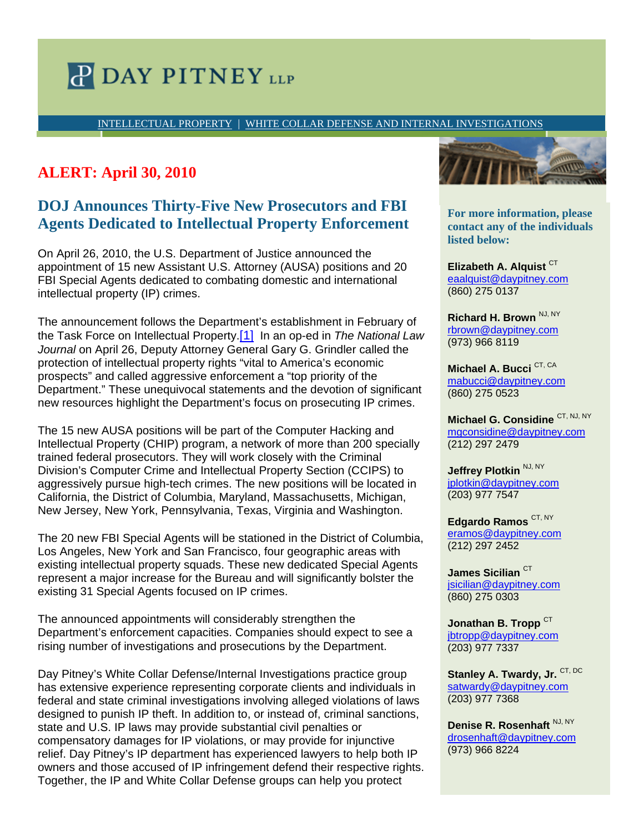## **P DAY PITNEY LLP**

INTELLECTUAL PROPERTY | WHITE COLLAR DEFENSE AND INTERNAL INVESTIGATIONS

## **ALERT: April 30, 2010**

## **DOJ Announces Thirty-Five New Prosecutors and FBI Agents Dedicated to Intellectual Property Enforcement**

On April 26, 2010, the U.S. Department of Justice announced the appointment of 15 new Assistant U.S. Attorney (AUSA) positions and 20 FBI Special Agents dedicated to combating domestic and international intellectual property (IP) crimes.

The announcement follows the Department's establishment in February of the Task Force on Intellectual Property.[1] In an op-ed in *The National Law*  Journal on April 26, Deputy Attorney General Gary G. Grindler called the protection of intellectual property rights "vital to America's economic prospects" and called aggressive enforcement a "top priority of the Department." These unequivocal statements and the devotion of significant new resources highlight the Department's focus on prosecuting IP crimes.

The 15 new AUSA positions will be part of the Computer Hacking and Intellectual Property (CHIP) program, a network of more than 200 specially trained federal prosecutors. They will work closely with the Criminal Division's Computer Crime and Intellectual Property Section (CCIPS) to aggressively pursue high-tech crimes. The new positions will be located in California, the District of Columbia, Maryland, Massachusetts, Michigan, New Jersey, New York, Pennsylvania, Texas, Virginia and Washington.

The 20 new FBI Special Agents will be stationed in the District of Columbia, Los Angeles, New York and San Francisco, four geographic areas with existing intellectual property squads. These new dedicated Special Agents represent a major increase for the Bureau and will significantly bolster the existing 31 Special Agents focused on IP crimes.

The announced appointments will considerably strengthen the Department's enforcement capacities. Companies should expect to see a rising number of investigations and prosecutions by the Department.

Day Pitney's White Collar Defense/Internal Investigations practice group has extensive experience representing corporate clients and individuals in federal and state criminal investigations involving alleged violations of laws designed to punish IP theft. In addition to, or instead of, criminal sanctions, state and U.S. IP laws may provide substantial civil penalties or compensatory damages for IP violations, or may provide for injunctive relief. Day Pitney's IP department has experienced lawyers to help both IP owners and those accused of IP infringement defend their respective rights. Together, the IP and White Collar Defense groups can help you protect



**contact any of the individuals disted below: different professional assistance to:**  $\frac{1}{2}$ **For more information, please** 

• *bullet 1*  eaalquist@daypitney.com • *bullet 2*  (860) 275 0137 **Elizabeth A. Alquist CT** 

**For more information, please**  rbrown@daypitney.com **contact any of the individuals**  (973) 966 8119 **Richard H. Brown** NJ, NY

mabucci@daypitney.com rmtaylor@daypitney.com (860) 275 0523 **Michael A. Bucci** CT, CA

(860) 275-0368 **Michael G. Considine** CT, NJ, NY mgconsidine@daypitney.com djelliott@daypitney.com (212) 297 2479

**Jeffrey Plotkin**  $\frac{NJ, NY}{J}$ **Ronald H. Janis, NJ, NY** jplotkin@daypitney.com rjanis@daypitney.com (203) 977 7547

(212) 297-5813 **Edgardo Ramos** CT, NY **Michael T. Rave, NJ** (212) 297 2452 eramos@daypitney.com

mrave@daypitney.com  $\sf{James~Sicilian}^{\sf CT}$ jsicilian@daypitney.com (860) 275 0303

Jonathan B. Tropp<sup>CT</sup> jbtropp@daypitney.com (203) 977 7337

Stanley A. Twardy, Jr. CT, DC satwardy@daypitney.com (203) 977 7368

Denise R. Rosenhaft NJ, NY drosenhaft@daypitney.com (973) 966 8224